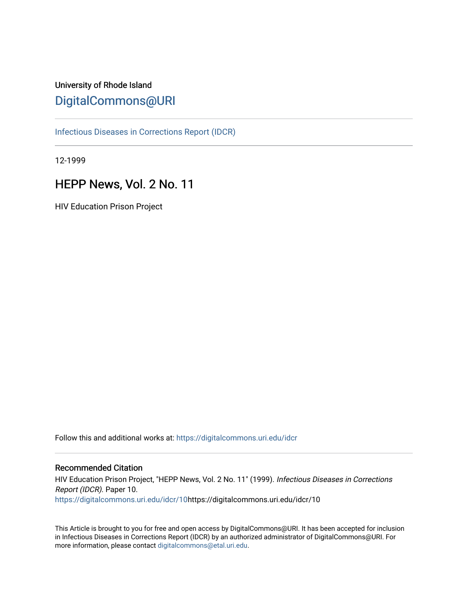# University of Rhode Island [DigitalCommons@URI](https://digitalcommons.uri.edu/)

[Infectious Diseases in Corrections Report \(IDCR\)](https://digitalcommons.uri.edu/idcr)

12-1999

# HEPP News, Vol. 2 No. 11

HIV Education Prison Project

Follow this and additional works at: [https://digitalcommons.uri.edu/idcr](https://digitalcommons.uri.edu/idcr?utm_source=digitalcommons.uri.edu%2Fidcr%2F10&utm_medium=PDF&utm_campaign=PDFCoverPages)

#### Recommended Citation

HIV Education Prison Project, "HEPP News, Vol. 2 No. 11" (1999). Infectious Diseases in Corrections Report (IDCR). Paper 10. [https://digitalcommons.uri.edu/idcr/10h](https://digitalcommons.uri.edu/idcr/10?utm_source=digitalcommons.uri.edu%2Fidcr%2F10&utm_medium=PDF&utm_campaign=PDFCoverPages)ttps://digitalcommons.uri.edu/idcr/10

This Article is brought to you for free and open access by DigitalCommons@URI. It has been accepted for inclusion in Infectious Diseases in Corrections Report (IDCR) by an authorized administrator of DigitalCommons@URI. For more information, please contact [digitalcommons@etal.uri.edu.](mailto:digitalcommons@etal.uri.edu)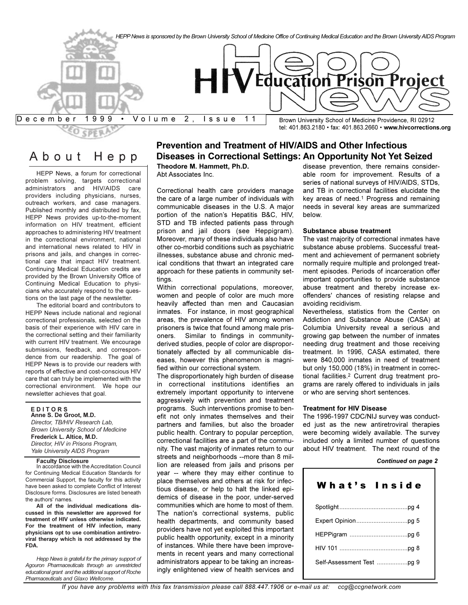

About Hepp

HEPP News, a forum for correctional problem solving, targets correctional administrators and HIV/AIDS care providers including physicians, nurses, outreach workers, and case managers. Published monthly and distributed by fax, HEPP News provides up-to-the-moment information on HIV treatment, efficient approaches to administering HIV treatment in the correctional environment, national and international news related to HIV in prisons and jails, and changes in correctional care that impact HIV treatment. Continuing Medical Education credits are provided by the Brown University Office of Continuing Medical Education to physicians who accurately respond to the questions on the last page of the newsletter.

The editorial board and contributors to HEPP News include national and regional correctional professionals, selected on the basis of their experience with HIV care in the correctional setting and their familiarity with current HIV treatment. We encourage submissions, feedback, and correspondence from our readership. The goal of HEPP News is to provide our readers with reports of effective and cost-conscious HIV care that can truly be implemented with the correctional environment. We hope our newsletter achieves that goal.

#### **E D I T O R S**

**Anne S. De Groot, M.D.** *Director, TB/HIV Research Lab, Brown University School of Medicine* **Frederick L. Altice, M.D.** *Director, HIV in Prisons Program, Yale University AIDS Program*

#### **Faculty Disclosure**

In accordance with the Accreditation Council for Continuing Medical Education Standards for Commercial Support, the faculty for this activity have been asked to complete Conflict of Interest Disclosure forms. Disclosures are listed beneath the authors' names.

**All of the individual medications discussed in this newsletter are approved for treatment of HIV unless otherwise indicated. For the treatment of HIV infection, many physicians opt to use combination antiretroviral therapy which is not addressed by the FDA.**

*Hepp News is grateful for the primary support of Agouron Pharmaceuticals through an unrestricted educational grant and the additional support of Roche Pharmaceuticals and Glaxo Wellcome.*

#### **Prevention and Treatment of HIV/AIDS and Other Infectious Diseases in Correctional Settings: An Opportunity Not Yet Seized Theodore M. Hammett, Ph.D.**

Abt Associates Inc.

Correctional health care providers manage the care of a large number of individuals with communicable diseases in the U.S. A major portion of the nation's Hepatitis B&C, HIV, STD and TB infected patients pass through prison and jail doors (see Heppigram). Moreover, many of these individuals also have other co-morbid conditions such as psychiatric illnesses, substance abuse and chronic medical conditions that thwart an integrated care approach for these patients in community settings.

Within correctional populations, moreover, women and people of color are much more heavily affected than men and Caucasian inmates. For instance, in most geographical areas, the prevalence of HIV among women prisoners is twice that found among male prisoners. Similar to findings in communityderived studies, people of color are disproportionately affected by all communicable diseases, however this phenomenon is magnified within our correctional system.

The disproportionately high burden of disease in correctional institutions identifies an extremely important opportunity to intervene aggressively with prevention and treatment programs. Such interventions promise to benefit not only inmates themselves and their partners and families, but also the broader public health. Contrary to popular perception, correctional facilities are a part of the community. The vast majority of inmates return to our streets and neighborhoods --more than 8 million are released from jails and prisons per year -- where they may either continue to place themselves and others at risk for infectious disease, or help to halt the linked epidemics of disease in the poor, under-served communities which are home to most of them. The nation's correctional systems, public health departments, and community based providers have not yet exploited this important public health opportunity, except in a minority of instances. While there have been improvements in recent years and many correctional administrators appear to be taking an increasingly enlightened view of health services and

disease prevention, there remains considerable room for improvement. Results of a series of national surveys of HIV/AIDS, STDs, and TB in correctional facilities elucidate the key areas of need.1 Progress and remaining needs in several key areas are summarized below.

#### **Substance abuse treatment**

The vast majority of correctional inmates have substance abuse problems. Successful treatment and achievement of permanent sobriety normally require multiple and prolonged treatment episodes. Periods of incarceration offer important opportunities to provide substance abuse treatment and thereby increase exoffenders' chances of resisting relapse and avoiding recidivism.

Nevertheless, statistics from the Center on Addiction and Substance Abuse (CASA) at Columbia University reveal a serious and growing gap between the number of inmates needing drug treatment and those receiving treatment. In 1996, CASA estimated, there were 840,000 inmates in need of treatment but only 150,000 (18%) in treatment in correctional facilities.2 Current drug treatment programs are rarely offered to individuals in jails or who are serving short sentences.

#### **Treatment for HIV Disease**

The 1996-1997 CDC/NIJ survey was conducted just as the new antiretroviral therapies were becoming widely available. The survey included only a limited number of questions about HIV treatment. The next round of the

#### *Continued on page 2*

| What's Inside |  |
|---------------|--|
|               |  |
|               |  |
|               |  |
|               |  |
|               |  |
|               |  |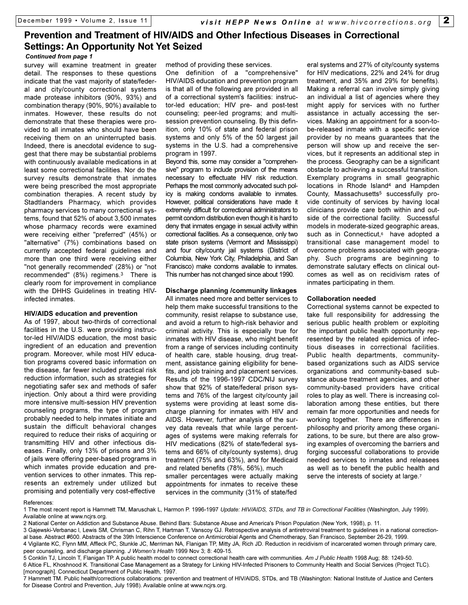# **Prevention and Treatment of HIV/AIDS and Other Infectious Diseases in Correctional Settings: An Opportunity Not Yet Seized**

*Continued from page 1*

survey will examine treatment in greater detail. The responses to these questions indicate that the vast majority of state/federal and city/county correctional systems made protease inhibitors (90%, 93%) and combination therapy (90%, 90%) available to inmates. However, these results do not demonstrate that these therapies were provided to all inmates who should have been receiving them on an uninterrupted basis. Indeed, there is anecdotal evidence to suggest that there may be substantial problems with continuously available medications in at least some correctional facilities. Nor do the survey results demonstrate that inmates were being prescribed the most appropriate combination therapies. A recent study by Stadtlanders Pharmacy, which provides pharmacy services to many correctional systems, found that 52% of about 3,500 inmates whose pharmacy records were examined were receiving either "preferred" (45%) or "alternative" (7%) combinations based on currently accepted federal guidelines and more than one third were receiving either "not generally recommended' (28%) or "not recommended" (8%) regimens.3 There is clearly room for improvement in compliance with the DHHS Guidelines in treating HIVinfected inmates.

#### **HIV/AIDS education and prevention**

As of 1997, about two-thirds of correctional facilities in the U.S. were providing instructor-led HIV/AIDS education, the most basic ingredient of an education and prevention program. Moreover, while most HIV education programs covered basic information on the disease, far fewer included practical risk reduction information, such as strategies for negotiating safer sex and methods of safer injection. Only about a third were providing more intensive multi-session HIV prevention counseling programs, the type of program probably needed to help inmates initiate and sustain the difficult behavioral changes required to reduce their risks of acquiring or transmitting HIV and other infectious diseases. Finally, only 13% of prisons and 3% of jails were offering peer-based programs in which inmates provide education and prevention services to other inmates. This represents an extremely under utilized but promising and potentially very cost-effective

method of providing these services.

One definition of a "comprehensive" HIV/AIDS education and prevention program is that all of the following are provided in all of a correctional system's facilities: instructor-led education; HIV pre- and post-test counseling; peer-led programs; and multisession prevention counseling. By this definition, only 10% of state and federal prison systems and only 5% of the 50 largest jail systems in the U.S. had a comprehensive program in 1997.

Beyond this, some may consider a "comprehensive" program to include provision of the means necessary to effectuate HIV risk reduction. Perhaps the most commonly advocated such policy is making condoms available to inmates. However, political considerations have made it extremely difficult for correctional administrators to permit condom distribution even though it is hard to deny that inmates engage in sexual activity within correctional facilities. As a consequence, only two state prison systems (Vermont and Mississippi) and four city/county jail systems (District of Columbia, New York City, Philadelphia, and San Francisco) make condoms available to inmates. This number has not changed since about 1990.

#### **Discharge planning /community linkages**

All inmates need more and better services to help them make successful transitions to the community, resist relapse to substance use, and avoid a return to high-risk behavior and criminal activity. This is especially true for inmates with HIV disease, who might benefit from a range of services including continuity of health care, stable housing, drug treatment, assistance gaining eligibility for benefits, and job training and placement services. Results of the 1996-1997 CDC/NIJ survey show that 92% of state/federal prison systems and 76% of the largest city/county jail systems were providing at least some discharge planning for inmates with HIV and AIDS. However, further analysis of the survey data reveals that while large percentages of systems were making referrals for HIV medications (82% of state/federal systems and 66% of city/county systems), drug treatment (75% and 63%), and for Medicaid and related benefits (78%, 56%), much smaller percentages were actually making appointments for inmates to receive these services in the community (31% of state/fed

eral systems and 27% of city/county systems for HIV medications, 22% and 24% for drug treatment, and 35% and 29% for benefits). Making a referral can involve simply giving an individual a list of agencies where they might apply for services with no further assistance in actually accessing the services. Making an appointment for a soon-tobe-released inmate with a specific service provider by no means guarantees that the person will show up and receive the services, but it represents an additional step in the process. Geography can be a significant obstacle to achieving a successful transition. Exemplary programs in small geographic locations in Rhode Island4 and Hampden County, Massachusetts<sup>5</sup> successfully provide continuity of services by having local clinicians provide care both within and outside of the correctional facility. Successful models in moderate-sized geographic areas, such as in Connecticut,<sup>6</sup> have adopted a transitional case management model to overcome problems associated with geography. Such programs are beginning to demonstrate salutary effects on clinical outcomes as well as on recidivism rates of inmates participating in them.

#### **Collaboration needed**

Correctional systems cannot be expected to take full responsibility for addressing the serious public health problem or exploiting the important public health opportunity represented by the related epidemics of infectious diseases in correctional facilities. Public health departments, communitybased organizations such as AIDS service organizations and community-based substance abuse treatment agencies, and other community-based providers have critical roles to play as well. There is increasing collaboration among these entities, but there remain far more opportunities and needs for working together. There are differences in philosophy and priority among these organizations, to be sure, but there are also growing examples of overcoming the barriers and forging successful collaborations to provide needed services to inmates and releasees as well as to benefit the public health and serve the interests of society at large.<sup>7</sup>

#### References:

1 The most recent report is Hammett TM, Maruschak L, Harmon P. 1996-1997 *Update: HIV/AIDS, STDs, and TB in Correctional Facilities* (Washington, July 1999). Available online at www.ncjrs.org.

2 National Center on Addiction and Substance Abuse. Behind Bars: Substance Abuse and America's Prison Population (New York, 1998), p. 11.

3 Gajewski-Verbanac l, Lewis SM, Chrisman C, Rihn T, Hartman T, Vanscoy GJ. Retrospective analysis of antiretroviral treatment to guidelines in a national correctional base. Abstract #600. Abstracts of the 39th Interscience Conference on Antimicrobial Agents and Chemotherapy, San Francisco, September 26-29, 1999.

4 Vigilante KC, Flynn MM, Affleck PC, Stunkle JC, Merriman NA, Flanigan TP, Mitty JA, Rich JD. Reduction in recidivism of incarcerated women through primary care, peer counseling, and discharge planning. *J Women's Health* 1999 Nov 3; 8: 409-15.

6 Altice FL, Khoshnood K. Transitional Case Management as a Strategy for Linking HIV-Infected Prisoners to Community Health and Social Services (Project TLC). [monograph]. Connecticut Department of Public Health, 1997.

7 Hammett TM. Public health/corrections collaborations: prevention and treatment of HIV/AIDS, STDs, and TB (Washington: National Institute of Justice and Centers for Disease Control and Prevention, July 1998). Available online at www.ncjrs.org.

<sup>5</sup> Conklin TJ, Lincoln T, Flanigan TP. A public health model to connect correctional health care with communities. *Am J Public Health* 1998 Aug; 88: 1249-50.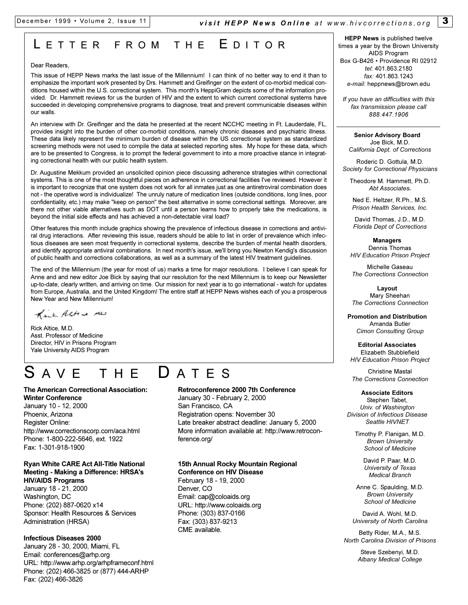# L ETTER FROM THE E DITOR

#### Dear Readers,

This issue of HEPP News marks the last issue of the Millennium! I can think of no better way to end it than to emphasize the important work presented by Drs. Hammett and Greifinger on the extent of co-morbid medical conditions housed within the U.S. correctional system. This month's HeppiGram depicts some of the information provided. Dr. Hammett reviews for us the burden of HIV and the extent to which current correctional systems have succeeded in developing comprehensive programs to diagnose, treat and prevent communicable diseases within our walls.

An interview with Dr. Greifinger and the data he presented at the recent NCCHC meeting in Ft. Lauderdale, FL, provides insight into the burden of other co-morbid conditions, namely chronic diseases and psychiatric illness. These data likely represent the minimum burden of disease within the US correctional system as standardized screening methods were not used to compile the data at selected reporting sites. My hope for these data, which are to be presented to Congress, is to prompt the federal government to into a more proactive stance in integrating correctional health with our public health system.

Dr. Augustine Mekkum provided an unsolicited opinion piece discussing adherence strategies within correctional systems. This is one of the most thoughtful pieces on adherence in correctional facilities I've reviewed. However it is important to recognize that one system does not work for all inmates just as one antiretroviral combination does not - the operative word is individualize! The unruly nature of medication lines (outside conditions, long lines, poor confidentiality, etc.) may make "keep on person" the best alternative in some correctional settings. Moreover, are there not other viable alternatives such as DOT until a person learns how to properly take the medications, is beyond the initial side effects and has achieved a non-detectable viral load?

Other features this month include graphics showing the prevalence of infectious disease in corrections and antiviral drug interactions. After reviewing this issue, readers should be able to list in order of prevalence which infectious diseases are seen most frequently in correctional systems, describe the burden of mental health disorders, and identify appropriate antiviral combinations. In next month's issue, we'll bring you Newton Kendig's discussion of public health and corrections collaborations, as well as a summary of the latest HIV treatment guidelines.

The end of the Millennium (the year for most of us) marks a time for major resolutions. I believe I can speak for Anne and and new editor Joe Bick by saying that our resolution for the next Millennium is to keep our Newsletter up-to-date, clearly written, and arriving on time. Our mission for next year is to go international - watch for updates from Europe, Australia, and the United Kingdom! The entire staff at HEPP News wishes each of you a prosperous New Year and New Millennium!

Kick Altre MD

Rick Altice, M.D. Asst. Professor of Medicine Director, HIV in Prisons Program Yale University AIDS Program

# S AVE THE D ATES

**The American Correctional Association: Winter Conference** January 10 - 12, 2000 Phoenix, Arizona Register Online: http://www.correctionscorp.com/aca.html Phone: 1-800-222-5646, ext. 1922 Fax: 1-301-918-1900

#### **Ryan White CARE Act All-Title National Meeting - Making a Difference: HRSA's HIV/AIDS Programs**

January 18 - 21, 2000 Washington, DC Phone: (202) 887-0620 x14 Sponsor: Health Resources & Services Administration (HRSA)

#### **Infectious Diseases 2000**

January 28 - 30, 2000, Miami, FL Email: conferences@arhp.org URL: http://www.arhp.org/arhpframeconf.html Phone: (202) 466-3825 or (877) 444-ARHP Fax: (202) 466-3826

#### **Retroconference 2000 7th Conference**

January 30 - February 2, 2000 San Francisco, CA Registration opens: November 30 Late breaker abstract deadline: January 5, 2000 More information available at: http://www.retroconference.org/

#### **15th Annual Rocky Mountain Regional Conference on HIV Disease**

February 18 - 19, 2000 Denver, CO Email: cap@coloaids.org URL: http://www.coloaids.org Phone: (303) 837-0166 Fax: (303) 837-9213 CME available.

**HEPP News** is published twelve times a year by the Brown University AIDS Program Box G-B426 · Providence RI 02912 *tel:* 401.863.2180 *fax:* 401.863.1243 *e-mail:* heppnews@brown.edu

*If you have an difficulties with this fax transmission please call 888.447.1906*

#### **Senior Advisory Board** Joe Bick, M.D. *California Dept. of Corrections*

Roderic D. Gottula, M.D. *Society for Correctional Physicians*

Theodore M. Hammett, Ph.D. *Abt Associates*<sup>v</sup>

Ned E. Heltzer, R.Ph., M.S. *Prison Health Services, Inc.*

David Thomas, J.D., M.D. *Florida Dept of Corrections*

**Managers** Dennis Thomas *HIV Education Prison Project*

Michelle Gaseau *The Corrections Connection*

**Layout**  Mary Sheehan *The Corrections Connection*

**Promotion and Distribution** Amanda Butler *Cimon Consulting Group*

#### **Editorial Associates**  Elizabeth Stubblefield *HIV Education Prison Project*

Christine Mastal *The Corrections Connection*

**Associate Editors**

Stephen Tabet, *Univ. of Washington Division of Infectious Disease Seattle HIVNET*

Timothy P. Flanigan, M.D. *Brown University School of Medicine*

> David P. Paar, M.D. *University of Texas Medical Branch*

Anne C. Spaulding, M.D. *Brown University School of Medicine*

David A. Wohl, M.D. *University of North Carolina*

Betty Rider, M.A., M.S. *North Carolina Division of Prisons*

> Steve Szebenyi, M.D. *Albany Medical College*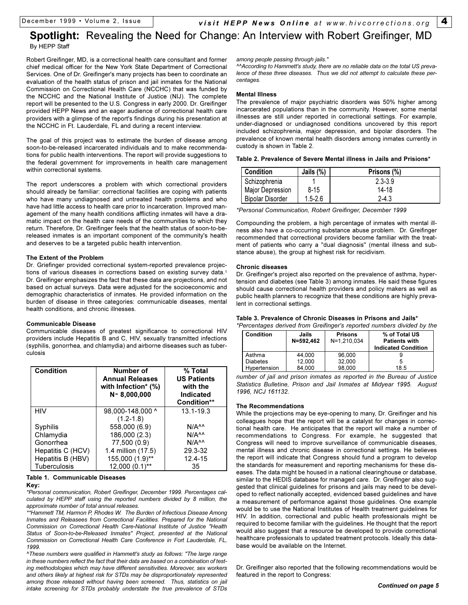December 1999 · Volume 2, Issue *visit HEPP News Online at www.hivcorrections.org* **4** 

## **Spotlight:** Revealing the Need for Change: An Interview with Robert Greifinger, MD By HEPP Staff

Robert Greifinger, MD, is a correctional health care consultant and former chief medical officer for the New York State Department of Correctional Services. One of Dr. Greifinger's many projects has been to coordinate an evaluation of the health status of prison and jail inmates for the National Commission on Correctional Health Care (NCCHC) that was funded by the NCCHC and the National Institute of Justice (NIJ). The complete report will be presented to the U.S. Congress in early 2000. Dr. Greifinger provided HEPP News and an eager audience of correctional health care providers with a glimpse of the report's findings during his presentation at the NCCHC in Ft. Lauderdale, FL and during a recent interview.

The goal of this project was to estimate the burden of disease among soon-to-be-released incarcerated individuals and to make recommendations for public health interventions. The report will provide suggestions to the federal government for improvements in health care management within correctional systems.

The report underscores a problem with which correctional providers should already be familiar: correctional facilities are coping with patients who have many undiagnosed and untreated health problems and who have had little access to health care prior to incarceration. Improved management of the many health conditions afflicting inmates will have a dramatic impact on the health care needs of the communities to which they return. Therefore, Dr. Greifinger feels that the health status of soon-to-bereleased inmates is an important component of the community's health and deserves to be a targeted public health intervention.

#### **The Extent of the Problem**

Dr. Griefinger provided correctional system-reported prevalence projections of various diseases in corrections based on existing survey data.<sup>1</sup> Dr. Greifinger emphasizes the fact that these data are projections, and not based on actual surveys. Data were adjusted for the socioeconomic and demographic characteristics of inmates. He provided information on the burden of disease in three categories: communicable diseases, mental health conditions, and chronic illnesses.

#### **Communicable Disease**

Communicable diseases of greatest significance to correctional HIV providers include Hepatitis B and C, HIV, sexually transmitted infections (syphilis, gonorrhea, and chlamydia) and airborne diseases such as tuberculosis

| Condition           | Number of<br><b>Annual Releases</b><br>with Infection* (%)<br>$N \approx 8,000,000$ | % Total<br><b>US Patients</b><br>with the<br><b>Indicated</b><br><b>Condition**</b> |
|---------------------|-------------------------------------------------------------------------------------|-------------------------------------------------------------------------------------|
| <b>HIV</b>          | 98,000-148,000 ^                                                                    | $13.1 - 19.3$                                                                       |
|                     | $(1.2 - 1.8)$                                                                       |                                                                                     |
| Syphilis            | 558,000 (6.9)                                                                       | N/A <sub>AA</sub>                                                                   |
| Chlamydia           | 186,000 (2.3)                                                                       | $N/A^{\wedge\wedge}$                                                                |
| Gonorrhea           | 77,500 (0.9)                                                                        | N/A <sub>AA</sub>                                                                   |
| Hepatitis C (HCV)   | 1.4 million (17.5)                                                                  | 29.3-32                                                                             |
| Hepatitis B (HBV)   | 155,000 (1.9)**                                                                     | 12.4-15                                                                             |
| <b>Tuberculosis</b> | 12,000 (0.1)**                                                                      | 35                                                                                  |

**Table 1. Communicable Diseases Key:**

*\*Personal communication, Robert Greifinger, December 1999. Percentages calculated by HEPP staff using the reported numbers divided by 8 million, the approximate number of total annual releases.*

*\*\*Hammett TM, Harmon P, Rhodes W. The Burden of Infectious Disease Among Inmates and Releasees from Correctional Facilities. Prepared for the National Commission on Correctional Health Care-National Institute of Justice "Health Status of Soon-to-be-Released Inmates" Project, presented at the National Commission on Correctional Health Care Conference in Fort Lauderdale, FL, 1999.* 

*^These numbers were qualified in Hammett's study as follows: "The large range in these numbers reflect the fact that their data are based on a combination of testing methodologies which may have different sensitivities. Moreover, sex workers and others likely at highest risk for STDs may be disproportionately represented among those released without having been screened. Thus, statistics on jail intake screening for STDs probably understate the true prevalence of STDs*

*among people passing through jails."*

*^^According to Hammett's study, there are no reliable data on the total US prevalence of these three diseases. Thus we did not attempt to calculate these percentages.*

#### **Mental Illness**

The prevalence of major psychiatric disorders was 50% higher among incarcerated populations than in the community. However, some mental illnesses are still under reported in correctional settings. For example, under-diagnosed or undiagnosed conditions uncovered by this report included schizophrenia, major depression, and bipolar disorders. The prevalence of known mental health disorders among inmates currently in custody is shown in Table 2.

|  | Table 2. Prevalence of Severe Mental illness in Jails and Prisions* |  |  |  |  |  |  |
|--|---------------------------------------------------------------------|--|--|--|--|--|--|
|--|---------------------------------------------------------------------|--|--|--|--|--|--|

| <b>Condition</b>        | Jails (%)   | Prisons (%) |
|-------------------------|-------------|-------------|
| Schizophrenia           |             | $2.3 - 3.9$ |
| Major Depression        | $8 - 15$    | 14-18       |
| <b>Bipolar Disorder</b> | $1.5 - 2.6$ | $2 - 4.3$   |

*\*Personal Communication, Robert Greifinger, December 1999*

Compounding the problem, a high percentage of inmates with mental illness also have a co-occurring substance abuse problem. Dr. Greifinger recommended that correctional providers become familiar with the treatment of patients who carry a "dual diagnosis" (mental illness and substance abuse), the group at highest risk for recidivism.

#### **Chronic diseases**

Dr. Greifinger's project also reported on the prevalence of asthma, hypertension and diabetes (see Table 3) among inmates. He said these figures should cause correctional health providers and policy makers as well as public health planners to recognize that these conditions are highly prevalent in correctional settings.

#### **Table 3. Prevalence of Chronic Diseases in Prisons and Jails\***

*\*Percentages derived from Greifinger's reported numbers divided by the*

| Condition       | Jails<br>N=592.462 | <b>Prisons</b><br>N=1.210.034 | % of Total US<br><b>Patients with</b><br><b>Indicated Condition</b> |
|-----------------|--------------------|-------------------------------|---------------------------------------------------------------------|
| Asthma          | 44.000             | 96.000                        |                                                                     |
| <b>Diabetes</b> | 12.000             | 32.000                        |                                                                     |
| Hypertension    | 84.000             | 98.000                        | 18.5                                                                |

*number of jail and prison inmates as reported in the Bureau of Justice Statistics Bulletine, Prison and Jail Inmates at Midyear 1995. August 1996, NCJ 161132.*

#### **The Recommendations**

While the projections may be eye-opening to many, Dr. Greifinger and his colleagues hope that the report will be a catalyst for changes in correctional health care. He anticipates that the report will make a number of recommendations to Congress. For example, he suggested that Congress will need to improve surveillance of communicable diseases, mental illness and chronic disease in correctional settings. He believes the report will indicate that Congress should fund a program to develop the standards for measurement and reporting mechanisms for these diseases. The data might be housed in a national clearinghouse or database, similar to the HEDIS database for managed care. Dr. Greifinger also suggested that clinical guidelines for prisons and jails may need to be developed to reflect nationally accepted, evidenced based guidelines and have a measurement of performance against those guidelines. One example would be to use the National Institutes of Health treatment guidelines for HIV. In addition, correctional and public health professionals might be required to become familiar with the guidelines. He thought that the report would also suggest that a resource be developed to provide correctional healthcare professionals to updated treatment protocols. Ideally this database would be available on the Internet.

Dr. Greifinger also reported that the following recommendations would be featured in the report to Congress: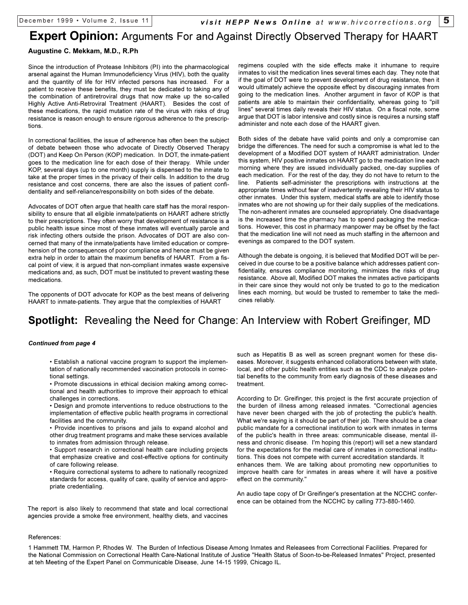# **Augustine C. Mekkam, M.D., R.Ph Expert Opinion:** Arguments For and Against Directly Observed Therapy for HAART

Since the introduction of Protease Inhibitors (PI) into the pharmacological arsenal against the Human Immunodeficiency Virus (HIV), both the quality and the quantity of life for HIV infected persons has increased. For a patient to receive these benefits, they must be dedicated to taking any of the combination of antiretroviral drugs that now make up the so-called Highly Active Anti-Retroviral Treatment (HAART). Besides the cost of these medications, the rapid mutation rate of the virus with risks of drug resistance is reason enough to ensure rigorous adherence to the prescriptions.

In correctional facilities, the issue of adherence has often been the subject of debate between those who advocate of Directly Observed Therapy (DOT) and Keep On Person (KOP) medication. In DOT, the inmate-patient goes to the medication line for each dose of their therapy. While under KOP, several days (up to one month) supply is dispensed to the inmate to take at the proper times in the privacy of their cells. In addition to the drug resistance and cost concerns, there are also the issues of patient confidentiality and self-reliance/responsibility on both sides of the debate.

Advocates of DOT often argue that health care staff has the moral responsibility to ensure that all eligible inmate/patients on HAART adhere strictly to their prescriptions. They often worry that development of resistance is a public health issue since most of these inmates will eventually parole and risk infecting others outside the prison. Advocates of DOT are also concerned that many of the inmate/patients have limited education or comprehension of the consequences of poor compliance and hence must be given extra help in order to attain the maximum benefits of HAART. From a fiscal point of view, it is argued that non-compliant inmates waste expensive medications and, as such, DOT must be instituted to prevent wasting these medications.

The opponents of DOT advocate for KOP as the best means of delivering HAART to inmate-patients. They argue that the complexities of HAART

regimens coupled with the side effects make it inhumane to require inmates to visit the medication lines several times each day. They note that if the goal of DOT were to prevent development of drug resistance, then it would ultimately achieve the opposite effect by discouraging inmates from going to the medication lines. Another argument in favor of KOP is that patients are able to maintain their confidentiality, whereas going to "pill lines" several times daily reveals their HIV status. On a fiscal note, some argue that DOT is labor intensive and costly since is requires a nursing staff administer and note each dose of the HAART given.

Both sides of the debate have valid points and only a compromise can bridge the differences. The need for such a compromise is what led to the development of a Modified DOT system of HAART administration. Under this system, HIV positive inmates on HAART go to the medication line each morning where they are issued individually packed, one-day supplies of each medication. For the rest of the day, they do not have to return to the line. Patients self-administer the prescriptions with instructions at the appropriate times without fear of inadvertently revealing their HIV status to other inmates. Under this system, medical staffs are able to identify those inmates who are not showing up for their daily supplies of the medications. The non-adherent inmates are counseled appropriately. One disadvantage is the increased time the pharmacy has to spend packaging the medications. However, this cost in pharmacy manpower may be offset by the fact that the medication line will not need as much staffing in the afternoon and evenings as compared to the DOT system.

Although the debate is ongoing, it is believed that Modified DOT will be perceived in due course to be a positive balance which addresses patient confidentiality, ensures compliance monitoring, minimizes the risks of drug resistance. Above all, Modified DOT makes the inmates active participants in their care since they would not only be trusted to go to the medication lines each morning, but would be trusted to remember to take the medicines reliably.

# **Spotlight:** Revealing the Need for Change: An Interview with Robert Greifinger, MD

#### *Continued from page 4*

 Establish a national vaccine program to support the implementation of nationally recommended vaccination protocols in correctional settings.

• Promote discussions in ethical decision making among correctional and health authorities to improve their approach to ethical challenges in corrections.

 Design and promote interventions to reduce obstructions to the implementation of effective public health programs in correctional facilities and the community.

 Provide incentives to prisons and jails to expand alcohol and other drug treatment programs and make these services available to inmates from admission through release.

 Support research in correctional health care including projects that emphasize creative and cost-effective options for continuity of care following release.

 Require correctional systems to adhere to nationally recognized standards for access, quality of care, quality of service and appropriate credentialing.

The report is also likely to recommend that state and local correctional agencies provide a smoke free environment, healthy diets, and vaccines such as Hepatitis B as well as screen pregnant women for these diseases. Moreover, it suggests enhanced collaborations between with state, local, and other public health entities such as the CDC to analyze potential benefits to the community from early diagnosis of these diseases and treatment.

According to Dr. Greifinger, this project is the first accurate projection of the burden of illness among released inmates. "Correctional agencies have never been charged with the job of protecting the public's health. What we're saying is it should be part of their job. There should be a clear public mandate for a correctional institution to work with inmates in terms of the public's health in three areas: communicable disease, mental illness and chronic disease. I'm hoping this (report) will set a new standard for the expectations for the medial care of inmates in correctional institutions. This does not compete with current accreditation standards. It enhances them. We are talking about promoting new opportunities to improve health care for inmates in areas where it will have a positive effect on the community."

An audio tape copy of Dr Greifinger's presentation at the NCCHC conference can be obtained from the NCCHC by calling 773-880-1460.

#### References:

1 Hammett TM, Harmon P, Rhodes W. The Burden of Infectious Disease Among Inmates and Releasees from Correctional Facilities. Prepared for the National Commission on Correctional Health Care-National Institute of Justice "Health Status of Soon-to-be-Released Inmates" Project, presented at teh Meeting of the Expert Panel on Communicable Disease, June 14-15 1999, Chicago IL.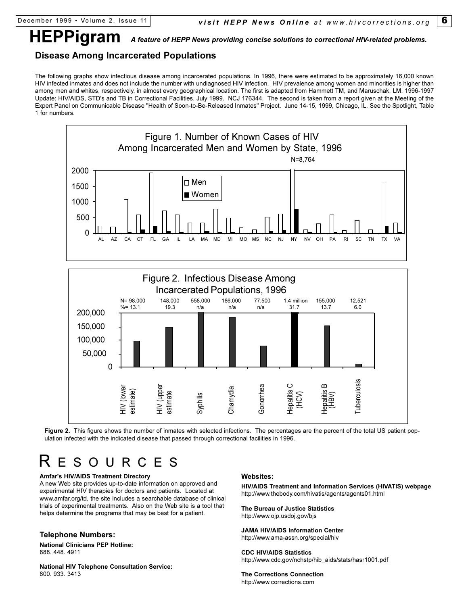# **HEPPigram** *A feature of HEPP News providing concise solutions to correctional HIV-related problems.*

### **Disease Among Incarcerated Populations**

The following graphs show infectious disease among incarcerated populations. In 1996, there were estimated to be approximately 16,000 known HIV infected inmates and does not include the number with undiagnosed HIV infection. HIV prevalence among women and minorities is higher than among men and whites, respectively, in almost every geographical location. The first is adapted from Hammett TM, and Maruschak, LM. 1996-1997 Update: HIV/AIDS, STD's and TB in Correctional Facilities. July 1999. NCJ 176344. The second is taken from a report given at the Meeting of the Expert Panel on Communicable Disease "Health of Soon-to-Be-Released Inmates" Project. June 14-15, 1999, Chicago, IL. See the Spotlight, Table 1 for numbers.





Figure 2. This figure shows the number of inmates with selected infections. The percentages are the percent of the total US patient population infected with the indicated disease that passed through correctional facilities in 1996.

# R ESOURCES

#### **Amfar's HIV/AIDS Treatment Directory**

A new Web site provides up-to-date information on approved and experimental HIV therapies for doctors and patients. Located at www.amfar.org/td, the site includes a searchable database of clinical trials of experimental treatments. Also on the Web site is a tool that helps determine the programs that may be best for a patient.

#### **Telephone Numbers:**

**National Clinicians PEP Hotline:** 888. 448. 4911

**National HIV Telephone Consultation Service:** 800. 933. 3413

#### **Websites:**

**HIV/AIDS Treatment and Information Services (HIVATIS) webpage** http://www.thebody.com/hivatis/agents/agents01.html

**The Bureau of Justice Statistics** http://www.ojp.usdoj.gov/bjs

**JAMA HIV/AIDS Information Center** http://www.ama-assn.org/special/hiv

#### **CDC HIV/AIDS Statistics**

http://www.cdc.gov/nchstp/hib\_aids/stats/hasr1001.pdf

**The Corrections Connection** http://www.corrections.com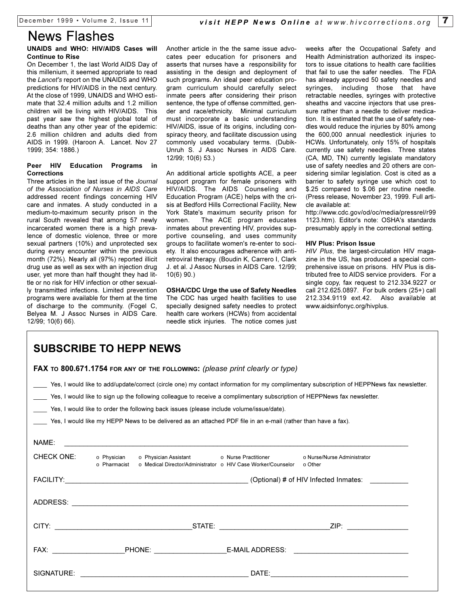# News Flashes

#### **UNAIDS and WHO: HIV/AIDS Cases will Continue to Rise**

On December 1, the last World AIDS Day of this millenium, it seemed appropriate to read the *Lancet's* report on the UNAIDS and WHO predictions for HIV/AIDS in the next century. At the close of 1999, UNAIDS and WHO estimate that 32.4 million adults and 1.2 million children will be living with HIV/AIDS. This past year saw the highest global total of deaths than any other year of the epidemic: 2.6 million children and adults died from AIDS in 1999. (Haroon A. Lancet. Nov 27 1999; 354: 1886.)

#### **Peer HIV Education Programs in Corrections**

Three articles in the last issue of the *Journal of the Association of Nurses in AIDS Care* addressed recent findings concerning HIV care and inmates. A study conducted in a medium-to-maximum security prison in the rural South revealed that among 57 newly incarcerated women there is a high prevalence of domestic violence, three or more sexual partners (10%) and unprotected sex during every encounter within the previous month (72%). Nearly all (97%) reported illicit drug use as well as sex with an injection drug user, yet more than half thought they had little or no risk for HIV infection or other sexually transmitted infections. Limited prevention programs were available for them at the time of discharge to the community. (Fogel C, Belyea M. J Assoc Nurses in AIDS Care. 12/99; 10(6) 66).

Another article in the the same issue advocates peer education for prisoners and asserts that nurses have a responsibility for assisting in the design and deployment of such programs. An ideal peer education program curriculum should carefully select inmate peers after considering their prison sentence, the type of offense committed, gender and race/ethnicity. Minimal curriculum must incorporate a basic understanding HIV/AIDS, issue of its origins, including conspiracy theory, and facilitate discussion using commonly used vocabulary terms. (Dubik-Unruh S. J Assoc Nurses in AIDS Care. 12/99; 10(6) 53.)

An additional article spotlights ACE, a peer support program for female prisoners with HIV/AIDS. The AIDS Counseling and Education Program (ACE) helps with the crisis at Bedford Hills Correctional Facility, New York State's maximum security prison for women. The ACE program educates inmates about preventing HIV, provides supportive counseling, and uses community groups to facilitate women's re-enter to society. It also encourages adherence with antiretroviral therapy. (Boudin K, Carrero I, Clark J. et al. J Assoc Nurses in AIDS Care. 12/99; 10(6) 90.)

**OSHA/CDC Urge the use of Safety Needles** The CDC has urged health facilities to use specially designed safety needles to protect health care workers (HCWs) from accidental needle stick injuries. The notice comes just weeks after the Occupational Safety and Health Administration authorized its inspectors to issue citations to health care facilities that fail to use the safer needles. The FDA has already approved 50 safety needles and syringes, including those that have retractable needles, syringes with protective sheaths and vaccine injectors that use pressure rather than a needle to deliver medication. It is estimated that the use of safety needles would reduce the injuries by 80% among the 600,000 annual needlestick injuries to HCWs. Unfortunately, only 15% of hospitals currently use safety needles. Three states (CA, MD, TN) currently legislate mandatory use of safety needles and 20 others are considering similar legislation. Cost is cited as a barrier to safety syringe use which cost to \$.25 compared to \$.06 per routine needle. (Press release, November 23, 1999. Full article available at:

http://www.cdc.gov/od/oc/media/pressrel/r99 1123.htm). Editor's note: OSHA's standards presumably apply in the correctional setting.

#### **HIV Plus: Prison Issue**

*HIV Plus*, the largest-circulation HIV magazine in the US, has produced a special comprehensive issue on prisons. HIV Plus is distributed free to AIDS service providers. For a single copy, fax request to 212.334.9227 or call 212.625.0897. For bulk orders (25+) call 212.334.9119 ext.42. Also available at www.aidsinfonyc.org/hivplus.

# **SUBSCRIBE TO HEPP NEWS**

|                                                                                                                                                                                                                                                                                                                                                                                                                                                                                    | FAX TO 800.671.1754 FOR ANY OF THE FOLLOWING: (please print clearly or type)                                                                                                                                                         |                                                                      |                             |  |  |
|------------------------------------------------------------------------------------------------------------------------------------------------------------------------------------------------------------------------------------------------------------------------------------------------------------------------------------------------------------------------------------------------------------------------------------------------------------------------------------|--------------------------------------------------------------------------------------------------------------------------------------------------------------------------------------------------------------------------------------|----------------------------------------------------------------------|-----------------------------|--|--|
| Yes, I would like to add/update/correct (circle one) my contact information for my complimentary subscription of HEPPNews fax newsletter.<br>Yes, I would like to sign up the following colleague to receive a complimentary subscription of HEPPNews fax newsletter.<br>Yes, I would like to order the following back issues (please include volume/issue/date).<br>Yes, I would like my HEPP News to be delivered as an attached PDF file in an e-mail (rather than have a fax). |                                                                                                                                                                                                                                      |                                                                      |                             |  |  |
| NAME:                                                                                                                                                                                                                                                                                                                                                                                                                                                                              | <u> 1989 - Jan Barbara de Santo Antonio de Antonio de Antonio de Antonio de Antonio de Antonio de Antonio de An</u>                                                                                                                  |                                                                      |                             |  |  |
| <b>CHECK ONE:</b>                                                                                                                                                                                                                                                                                                                                                                                                                                                                  | o Physician       o Physician Assistant                  o Nurse Practitioner<br>⊙ Pharmacist                                                                                                                                        | ○ Medical Director/Administrator ○ HIV Case Worker/Counselor ○ Other | ⊙ Nurse/Nurse Administrator |  |  |
|                                                                                                                                                                                                                                                                                                                                                                                                                                                                                    |                                                                                                                                                                                                                                      |                                                                      |                             |  |  |
|                                                                                                                                                                                                                                                                                                                                                                                                                                                                                    |                                                                                                                                                                                                                                      |                                                                      |                             |  |  |
|                                                                                                                                                                                                                                                                                                                                                                                                                                                                                    |                                                                                                                                                                                                                                      |                                                                      |                             |  |  |
|                                                                                                                                                                                                                                                                                                                                                                                                                                                                                    |                                                                                                                                                                                                                                      |                                                                      |                             |  |  |
| SIGNATURE:                                                                                                                                                                                                                                                                                                                                                                                                                                                                         | <u> 1989 - Johann Harry Harry Harry Harry Harry Harry Harry Harry Harry Harry Harry Harry Harry Harry Harry Harry Harry Harry Harry Harry Harry Harry Harry Harry Harry Harry Harry Harry Harry Harry Harry Harry Harry Harry Ha</u> |                                                                      |                             |  |  |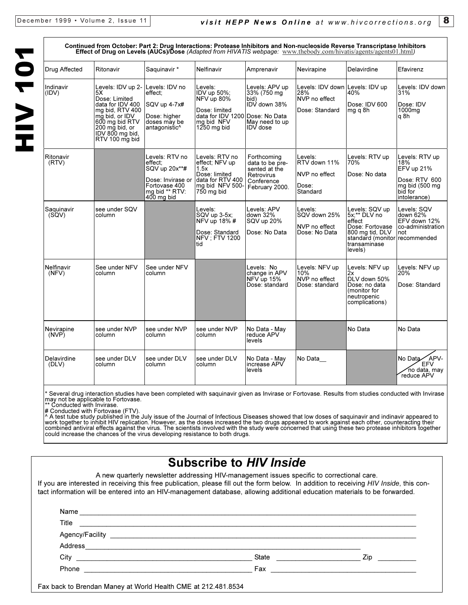# **HIV 101** HIV 101

|                      | 1959 119111 OCLODGI. I BIL<br>Effect of Drug on Levels (AUCs)/Dose (Adapted from HIVATIS webpage: www.thebody.com/hivatis/agents/agents01.html)                                              | orug musiquuuno.                                                                                                 |                                                                                                                |                                                                                                       |                                                                           |                                                                                                                                            | JLGJU IIIIIIVILV                                                                                  |
|----------------------|----------------------------------------------------------------------------------------------------------------------------------------------------------------------------------------------|------------------------------------------------------------------------------------------------------------------|----------------------------------------------------------------------------------------------------------------|-------------------------------------------------------------------------------------------------------|---------------------------------------------------------------------------|--------------------------------------------------------------------------------------------------------------------------------------------|---------------------------------------------------------------------------------------------------|
| Drug Affected        | Ritonavir                                                                                                                                                                                    | Saquinavir*                                                                                                      | Nelfinavir                                                                                                     | Amprenavir                                                                                            | Nevirapine                                                                | Delavirdine                                                                                                                                | Efavirenz                                                                                         |
| Indinavir<br>(IDV)   | Levels: IDV up 2- Levels: IDV no<br>5X.<br>Dose: Limited<br>data for IDV 400<br>mg bid, RTV 400<br>mg bid, or IDV<br>600 mg bid RTV<br>$200$ mg bid, or<br>IDV 800 mg bid,<br>RTV 100 mg bid | effect:<br>SQV up 4-7x#<br>Dose: higher<br>doses may be<br>antagonistic^                                         | Levels:<br>IDV up 50%;<br>NFV up 80%<br>Dose: limited<br>data for IDV 1200<br>ma bid NFV<br>$1250$ mg bid      | Levels: APV up<br>33% (750 mg)<br>bid)<br>IDV down 38%<br>Dose: No Data<br>May need to up<br>IDV dose | Levels: IDV down Levels: IDV up<br>28%<br>NVP no effect<br>Dose: Standard | 40%<br>Dose: IDV 600<br>mg q 8h                                                                                                            | Levels: IDV down<br>31%<br>Dose: IDV<br>1000mg<br>q8h                                             |
| Ritonavir<br>(RTV)   |                                                                                                                                                                                              | Levels: RTV no<br>effect:<br>SQV up 20x**#<br>Dose: Invirase or<br>Fortovase 400<br>mg bid ** RTV:<br>400 mg bid | Levels: RTV no<br>effect: NFV up<br>1.5x<br>Dose: limited<br>data for RTV 400<br>mg bid NFV 500-<br>750 mg bid | Forthcoming<br>data to be pre-<br>sented at the<br><b>Retrovirus</b><br>Conference<br>February 2000.  | Levels:<br>RTV down 11%<br>NVP no effect<br>Dose:<br>Standard             | Levels: RTV up<br>70%<br>Dose: No data                                                                                                     | Levels: RTV up<br>18%<br>EFV up 21%<br>Dose: RTV 600<br>mg bid (500 mg<br>biď for<br>intolerance) |
| Saquinavir<br>(SQV)  | see under SQV<br>column                                                                                                                                                                      |                                                                                                                  | Levels:<br>SQV up 3-5x;<br>NFV up 18% #<br>Dose: Standard<br><b>NFV: FTV 1200</b><br>ltid                      | Levels: APV<br>down 32%<br>SQV up 20%<br>Dose: No Data                                                | Levels:<br>SQV down 25%<br>NVP no effect<br>Dose: No Data                 | Levels: SQV up<br>5x;** DLV no<br>effect<br>Dose: Fortovase<br>800 mg tid, DLV<br>standard (monitor recommended<br>transaminase<br>levels) | Levels: SQV<br>down 62%<br>EFV down 12%<br>co-administration<br>not                               |
| Nelfinavir<br>(NFV)  | See under NFV<br>column                                                                                                                                                                      | See under NFV<br>column                                                                                          |                                                                                                                | Levels: No<br>change in APV<br>NFV up 15%<br>Dose: standard                                           | Levels: NFV up<br>10%<br>NVP no effect<br>Dose: standard                  | Levels: NFV up<br>2x<br>DLV down 50%<br>Dose: no data<br>(monitor for<br>neutropenic<br>complications)                                     | Levels: NFV up<br>20%<br>Dose: Standard                                                           |
| Nevirapine<br>(NVP)  | see under NVP<br>column                                                                                                                                                                      | see under NVP<br>column                                                                                          | see under NVP<br>column                                                                                        | No Data - May<br>reduce APV<br>levels                                                                 |                                                                           | No Data                                                                                                                                    | No Data                                                                                           |
| Delavirdine<br>(DLV) | see under DLV<br>column                                                                                                                                                                      | see under DLV<br>column                                                                                          | see under DLV<br>column                                                                                        | No Data - May<br>increase APV<br>levels                                                               | No Data                                                                   |                                                                                                                                            | No Data APV-<br><b>EFV</b><br>no data, may<br>reduce APV                                          |

Continued from October: Part 2: Drug Interactions: Proteges Inhibitors and Non-nucleoside Peyerse Transcriptase Inhibitors

Several drug interaction studies have been completed with saquinavir given as Invirase or Fortovase. Results from studies conducted with Invirase may not be applicable to Fortovase. \*\* Conducted with Invirase.

# Conducted with Fortovase (FTV).

^ A test tube study published in the July issue of the Journal of Infectious Diseases showed that low doses of saquinavir and indinavir appeared to<br>work together to inhibit HIV replication. However, as the doses increased combined antiviral effects against the virus. The scientists involved with the study were concerned that using these two protease inhibitors together could increase the chances of the virus developing resistance to both drugs.

# **Subscribe to** *HIV Inside*

A new quarterly newsletter addressing HIV-management issues specific to correctional care.

If you are interested in receiving this free publication, please fill out the form below. In addition to receiving *HIV Inside*, this contact information will be entered into an HIV-management database, allowing additional education materials to be forwarded.

| Title                                                              | <u> 1989 - Johann Stoff, deutscher Stoffen und der Stoffen und der Stoffen und der Stoffen und der Stoffen und der</u> |      |
|--------------------------------------------------------------------|------------------------------------------------------------------------------------------------------------------------|------|
|                                                                    |                                                                                                                        |      |
|                                                                    |                                                                                                                        |      |
|                                                                    | State                                                                                                                  | Zip. |
| Phone<br><u> 1980 - John Stein, Amerikaansk politiker († 1908)</u> |                                                                                                                        |      |